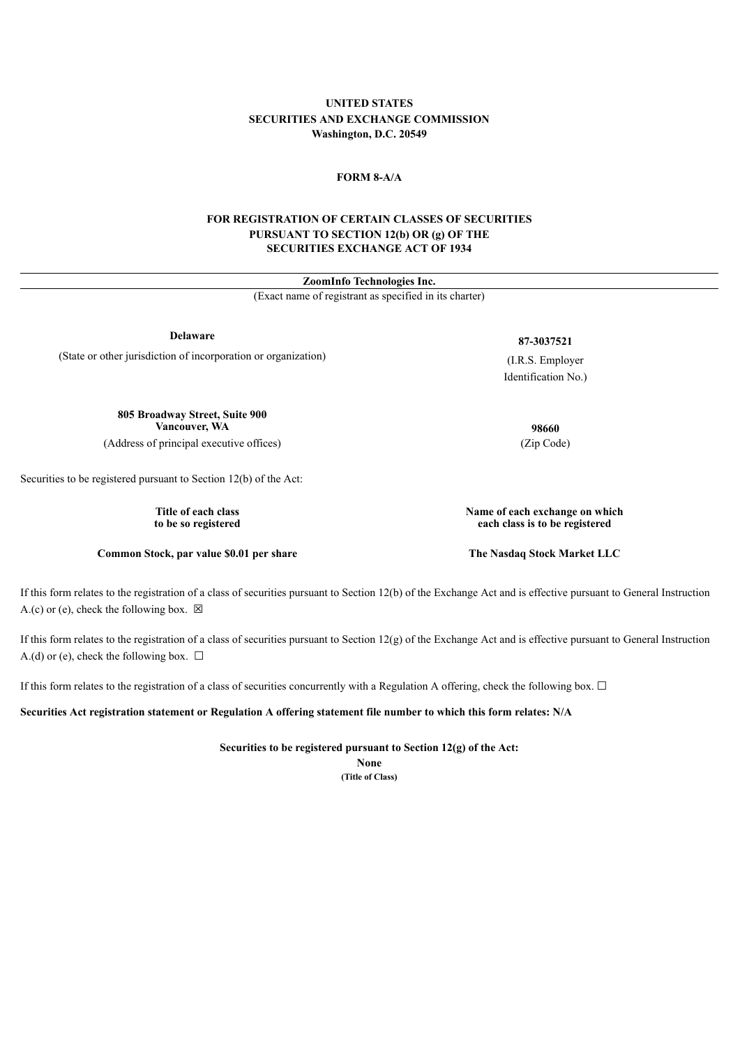# **UNITED STATES SECURITIES AND EXCHANGE COMMISSION Washington, D.C. 20549**

## **FORM 8-A/A**

## **FOR REGISTRATION OF CERTAIN CLASSES OF SECURITIES PURSUANT TO SECTION 12(b) OR (g) OF THE SECURITIES EXCHANGE ACT OF 1934**

| ZoomInfo Technologies Inc.<br>(Exact name of registrant as specified in its charter) |                                                                  |
|--------------------------------------------------------------------------------------|------------------------------------------------------------------|
|                                                                                      |                                                                  |
| (State or other jurisdiction of incorporation or organization)                       | (I.R.S. Employer)                                                |
|                                                                                      | Identification No.)                                              |
| 805 Broadway Street, Suite 900<br>Vancouver, WA                                      | 98660                                                            |
| (Address of principal executive offices)                                             | (Zip Code)                                                       |
| Securities to be registered pursuant to Section 12(b) of the Act:                    |                                                                  |
| Title of each class<br>to be so registered                                           | Name of each exchange on which<br>each class is to be registered |
| Common Stock, par value \$0.01 per share                                             | The Nasdaq Stock Market LLC                                      |

If this form relates to the registration of a class of securities pursuant to Section 12(b) of the Exchange Act and is effective pursuant to General Instruction A.(c) or (e), check the following box.  $\boxtimes$ 

If this form relates to the registration of a class of securities pursuant to Section 12(g) of the Exchange Act and is effective pursuant to General Instruction A.(d) or (e), check the following box.  $\Box$ 

If this form relates to the registration of a class of securities concurrently with a Regulation A offering, check the following box. □

Securities Act registration statement or Regulation A offering statement file number to which this form relates: N/A

**Securities to be registered pursuant to Section 12(g) of the Act:**

**None (Title of Class)**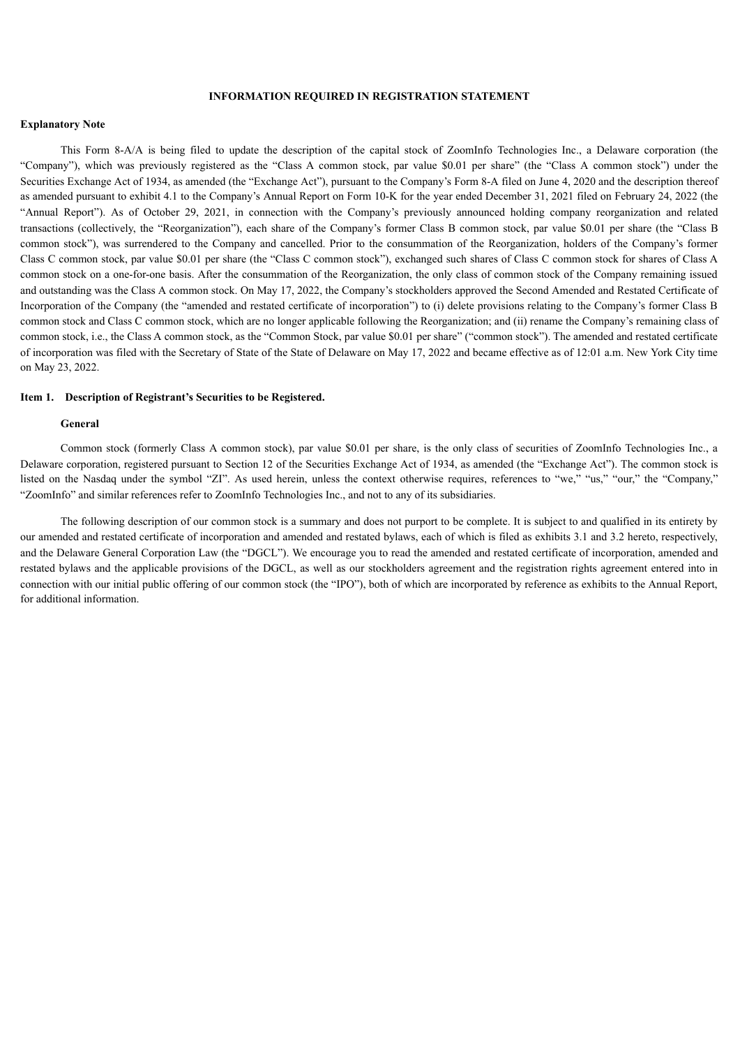## **INFORMATION REQUIRED IN REGISTRATION STATEMENT**

### **Explanatory Note**

This Form 8-A/A is being filed to update the description of the capital stock of ZoomInfo Technologies Inc., a Delaware corporation (the "Company"), which was previously registered as the "Class A common stock, par value \$0.01 per share" (the "Class A common stock") under the Securities Exchange Act of 1934, as amended (the "Exchange Act"), pursuant to the Company's Form 8-A filed on June 4, 2020 and the description thereof as amended pursuant to exhibit 4.1 to the Company's Annual Report on Form 10-K for the year ended December 31, 2021 filed on February 24, 2022 (the "Annual Report"). As of October 29, 2021, in connection with the Company's previously announced holding company reorganization and related transactions (collectively, the "Reorganization"), each share of the Company's former Class B common stock, par value \$0.01 per share (the "Class B common stock"), was surrendered to the Company and cancelled. Prior to the consummation of the Reorganization, holders of the Company's former Class C common stock, par value \$0.01 per share (the "Class C common stock"), exchanged such shares of Class C common stock for shares of Class A common stock on a one-for-one basis. After the consummation of the Reorganization, the only class of common stock of the Company remaining issued and outstanding was the Class A common stock. On May 17, 2022, the Company's stockholders approved the Second Amended and Restated Certificate of Incorporation of the Company (the "amended and restated certificate of incorporation") to (i) delete provisions relating to the Company's former Class B common stock and Class C common stock, which are no longer applicable following the Reorganization; and (ii) rename the Company's remaining class of common stock, i.e., the Class A common stock, as the "Common Stock, par value \$0.01 per share" ("common stock"). The amended and restated certificate of incorporation was filed with the Secretary of State of the State of Delaware on May 17, 2022 and became effective as of 12:01 a.m. New York City time on May 23, 2022.

#### **Item 1. Description of Registrant's Securities to be Registered.**

#### **General**

Common stock (formerly Class A common stock), par value \$0.01 per share, is the only class of securities of ZoomInfo Technologies Inc., a Delaware corporation, registered pursuant to Section 12 of the Securities Exchange Act of 1934, as amended (the "Exchange Act"). The common stock is listed on the Nasdaq under the symbol "ZI". As used herein, unless the context otherwise requires, references to "we," "us," "our," the "Company," "ZoomInfo" and similar references refer to ZoomInfo Technologies Inc., and not to any of its subsidiaries.

The following description of our common stock is a summary and does not purport to be complete. It is subject to and qualified in its entirety by our amended and restated certificate of incorporation and amended and restated bylaws, each of which is filed as exhibits 3.1 and 3.2 hereto, respectively, and the Delaware General Corporation Law (the "DGCL"). We encourage you to read the amended and restated certificate of incorporation, amended and restated bylaws and the applicable provisions of the DGCL, as well as our stockholders agreement and the registration rights agreement entered into in connection with our initial public offering of our common stock (the "IPO"), both of which are incorporated by reference as exhibits to the Annual Report, for additional information.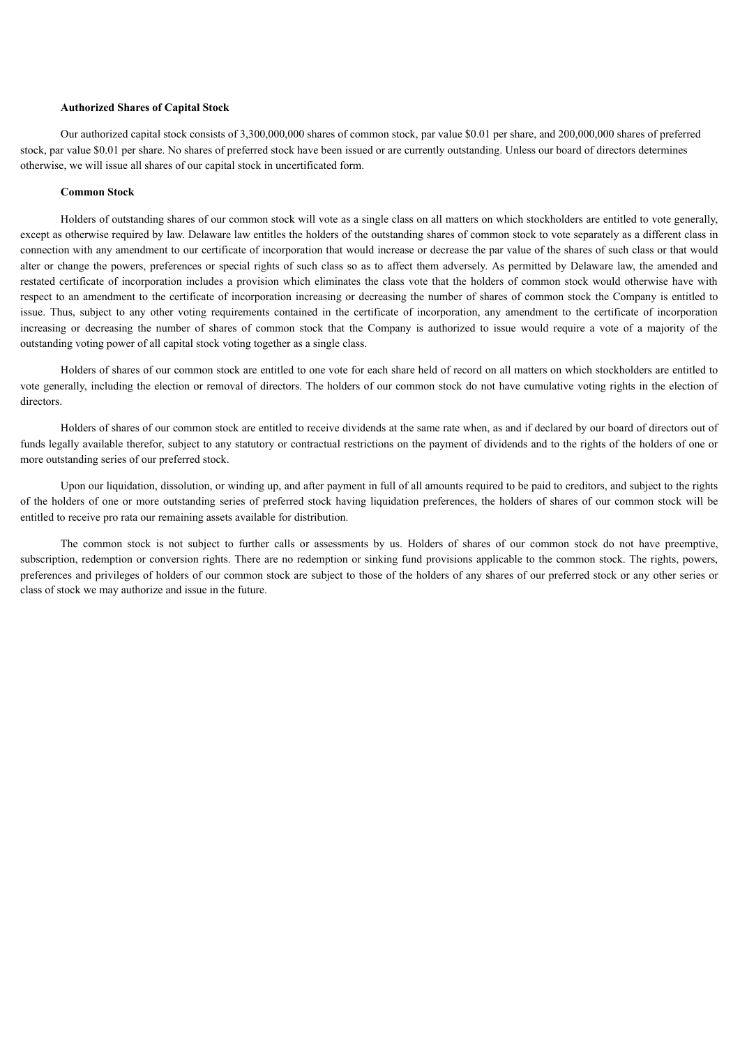### **Authorized Shares of Capital Stock**

Our authorized capital stock consists of 3,300,000,000 shares of common stock, par value \$0.01 per share, and 200,000,000 shares of preferred stock, par value \$0.01 per share. No shares of preferred stock have been issued or are currently outstanding. Unless our board of directors determines otherwise, we will issue all shares of our capital stock in uncertificated form.

### **Common Stock**

Holders of outstanding shares of our common stock will vote as a single class on all matters on which stockholders are entitled to vote generally, except as otherwise required by law. Delaware law entitles the holders of the outstanding shares of common stock to vote separately as a different class in connection with any amendment to our certificate of incorporation that would increase or decrease the par value of the shares of such class or that would alter or change the powers, preferences or special rights of such class so as to affect them adversely. As permitted by Delaware law, the amended and restated certificate of incorporation includes a provision which eliminates the class vote that the holders of common stock would otherwise have with respect to an amendment to the certificate of incorporation increasing or decreasing the number of shares of common stock the Company is entitled to issue. Thus, subject to any other voting requirements contained in the certificate of incorporation, any amendment to the certificate of incorporation increasing or decreasing the number of shares of common stock that the Company is authorized to issue would require a vote of a majority of the outstanding voting power of all capital stock voting together as a single class.

Holders of shares of our common stock are entitled to one vote for each share held of record on all matters on which stockholders are entitled to vote generally, including the election or removal of directors. The holders of our common stock do not have cumulative voting rights in the election of directors.

Holders of shares of our common stock are entitled to receive dividends at the same rate when, as and if declared by our board of directors out of funds legally available therefor, subject to any statutory or contractual restrictions on the payment of dividends and to the rights of the holders of one or more outstanding series of our preferred stock.

Upon our liquidation, dissolution, or winding up, and after payment in full of all amounts required to be paid to creditors, and subject to the rights of the holders of one or more outstanding series of preferred stock having liquidation preferences, the holders of shares of our common stock will be entitled to receive pro rata our remaining assets available for distribution.

The common stock is not subject to further calls or assessments by us. Holders of shares of our common stock do not have preemptive, subscription, redemption or conversion rights. There are no redemption or sinking fund provisions applicable to the common stock. The rights, powers, preferences and privileges of holders of our common stock are subject to those of the holders of any shares of our preferred stock or any other series or class of stock we may authorize and issue in the future.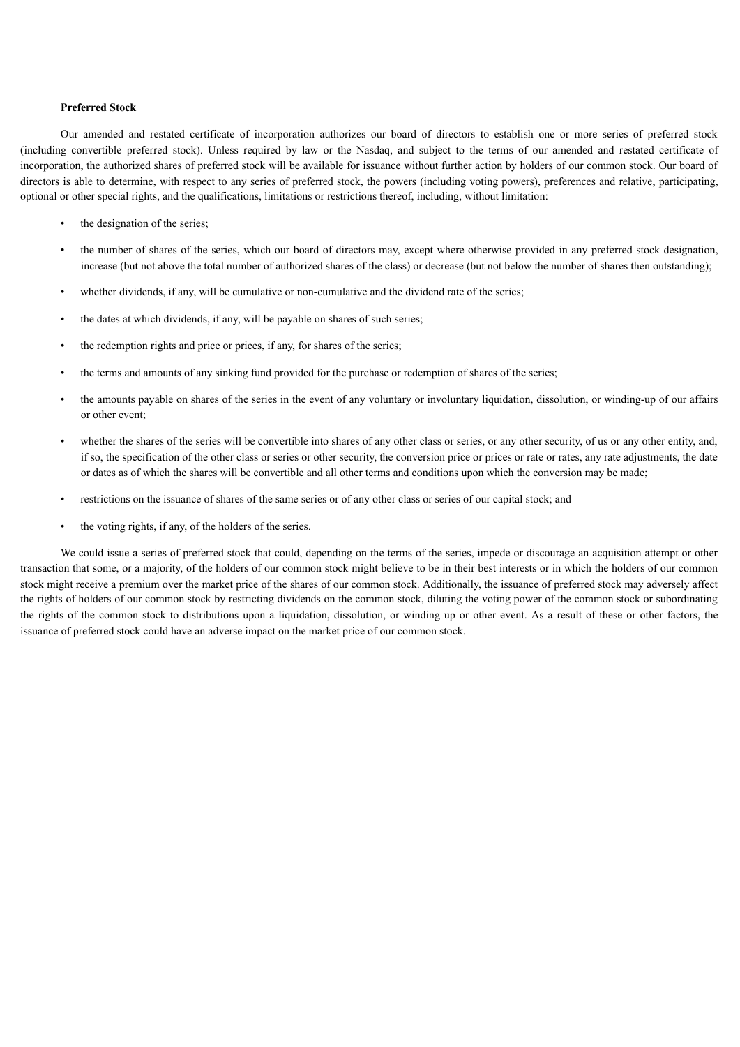## **Preferred Stock**

Our amended and restated certificate of incorporation authorizes our board of directors to establish one or more series of preferred stock (including convertible preferred stock). Unless required by law or the Nasdaq, and subject to the terms of our amended and restated certificate of incorporation, the authorized shares of preferred stock will be available for issuance without further action by holders of our common stock. Our board of directors is able to determine, with respect to any series of preferred stock, the powers (including voting powers), preferences and relative, participating, optional or other special rights, and the qualifications, limitations or restrictions thereof, including, without limitation:

- the designation of the series;
- the number of shares of the series, which our board of directors may, except where otherwise provided in any preferred stock designation, increase (but not above the total number of authorized shares of the class) or decrease (but not below the number of shares then outstanding);
- whether dividends, if any, will be cumulative or non-cumulative and the dividend rate of the series;
- the dates at which dividends, if any, will be payable on shares of such series;
- the redemption rights and price or prices, if any, for shares of the series;
- the terms and amounts of any sinking fund provided for the purchase or redemption of shares of the series;
- the amounts payable on shares of the series in the event of any voluntary or involuntary liquidation, dissolution, or winding-up of our affairs or other event;
- whether the shares of the series will be convertible into shares of any other class or series, or any other security, of us or any other entity, and, if so, the specification of the other class or series or other security, the conversion price or prices or rate or rates, any rate adjustments, the date or dates as of which the shares will be convertible and all other terms and conditions upon which the conversion may be made;
- restrictions on the issuance of shares of the same series or of any other class or series of our capital stock; and
- the voting rights, if any, of the holders of the series.

We could issue a series of preferred stock that could, depending on the terms of the series, impede or discourage an acquisition attempt or other transaction that some, or a majority, of the holders of our common stock might believe to be in their best interests or in which the holders of our common stock might receive a premium over the market price of the shares of our common stock. Additionally, the issuance of preferred stock may adversely affect the rights of holders of our common stock by restricting dividends on the common stock, diluting the voting power of the common stock or subordinating the rights of the common stock to distributions upon a liquidation, dissolution, or winding up or other event. As a result of these or other factors, the issuance of preferred stock could have an adverse impact on the market price of our common stock.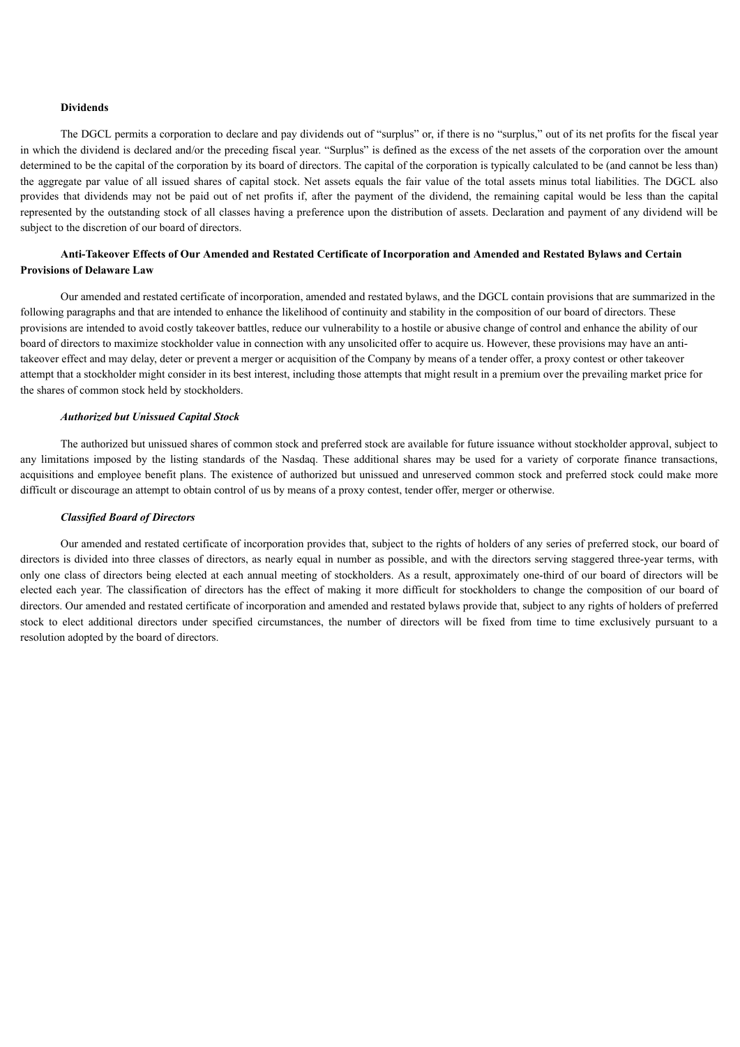## **Dividends**

The DGCL permits a corporation to declare and pay dividends out of "surplus" or, if there is no "surplus," out of its net profits for the fiscal year in which the dividend is declared and/or the preceding fiscal year. "Surplus" is defined as the excess of the net assets of the corporation over the amount determined to be the capital of the corporation by its board of directors. The capital of the corporation is typically calculated to be (and cannot be less than) the aggregate par value of all issued shares of capital stock. Net assets equals the fair value of the total assets minus total liabilities. The DGCL also provides that dividends may not be paid out of net profits if, after the payment of the dividend, the remaining capital would be less than the capital represented by the outstanding stock of all classes having a preference upon the distribution of assets. Declaration and payment of any dividend will be subject to the discretion of our board of directors.

## Anti-Takeover Effects of Our Amended and Restated Certificate of Incorporation and Amended and Restated Bylaws and Certain **Provisions of Delaware Law**

Our amended and restated certificate of incorporation, amended and restated bylaws, and the DGCL contain provisions that are summarized in the following paragraphs and that are intended to enhance the likelihood of continuity and stability in the composition of our board of directors. These provisions are intended to avoid costly takeover battles, reduce our vulnerability to a hostile or abusive change of control and enhance the ability of our board of directors to maximize stockholder value in connection with any unsolicited offer to acquire us. However, these provisions may have an antitakeover effect and may delay, deter or prevent a merger or acquisition of the Company by means of a tender offer, a proxy contest or other takeover attempt that a stockholder might consider in its best interest, including those attempts that might result in a premium over the prevailing market price for the shares of common stock held by stockholders.

## *Authorized but Unissued Capital Stock*

The authorized but unissued shares of common stock and preferred stock are available for future issuance without stockholder approval, subject to any limitations imposed by the listing standards of the Nasdaq. These additional shares may be used for a variety of corporate finance transactions, acquisitions and employee benefit plans. The existence of authorized but unissued and unreserved common stock and preferred stock could make more difficult or discourage an attempt to obtain control of us by means of a proxy contest, tender offer, merger or otherwise.

## *Classified Board of Directors*

Our amended and restated certificate of incorporation provides that, subject to the rights of holders of any series of preferred stock, our board of directors is divided into three classes of directors, as nearly equal in number as possible, and with the directors serving staggered three-year terms, with only one class of directors being elected at each annual meeting of stockholders. As a result, approximately one-third of our board of directors will be elected each year. The classification of directors has the effect of making it more difficult for stockholders to change the composition of our board of directors. Our amended and restated certificate of incorporation and amended and restated bylaws provide that, subject to any rights of holders of preferred stock to elect additional directors under specified circumstances, the number of directors will be fixed from time to time exclusively pursuant to a resolution adopted by the board of directors.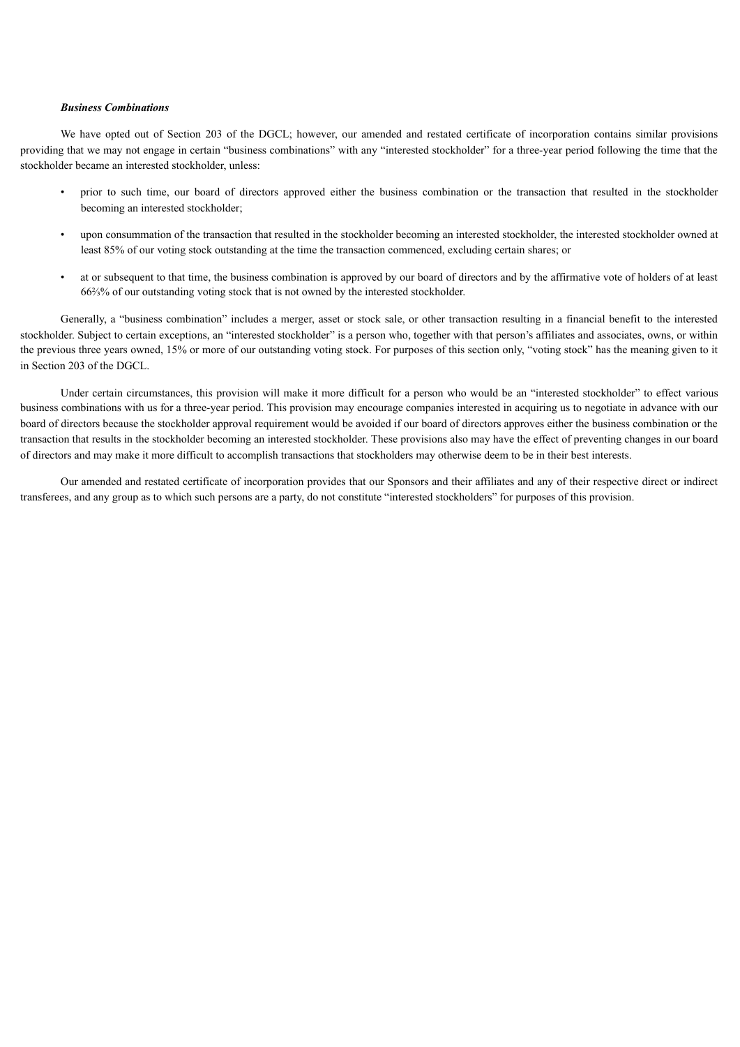#### *Business Combinations*

We have opted out of Section 203 of the DGCL; however, our amended and restated certificate of incorporation contains similar provisions providing that we may not engage in certain "business combinations" with any "interested stockholder" for a three-year period following the time that the stockholder became an interested stockholder, unless:

- prior to such time, our board of directors approved either the business combination or the transaction that resulted in the stockholder becoming an interested stockholder;
- upon consummation of the transaction that resulted in the stockholder becoming an interested stockholder, the interested stockholder owned at least 85% of our voting stock outstanding at the time the transaction commenced, excluding certain shares; or
- at or subsequent to that time, the business combination is approved by our board of directors and by the affirmative vote of holders of at least 66⅔% of our outstanding voting stock that is not owned by the interested stockholder.

Generally, a "business combination" includes a merger, asset or stock sale, or other transaction resulting in a financial benefit to the interested stockholder. Subject to certain exceptions, an "interested stockholder" is a person who, together with that person's affiliates and associates, owns, or within the previous three years owned, 15% or more of our outstanding voting stock. For purposes of this section only, "voting stock" has the meaning given to it in Section 203 of the DGCL.

Under certain circumstances, this provision will make it more difficult for a person who would be an "interested stockholder" to effect various business combinations with us for a three-year period. This provision may encourage companies interested in acquiring us to negotiate in advance with our board of directors because the stockholder approval requirement would be avoided if our board of directors approves either the business combination or the transaction that results in the stockholder becoming an interested stockholder. These provisions also may have the effect of preventing changes in our board of directors and may make it more difficult to accomplish transactions that stockholders may otherwise deem to be in their best interests.

Our amended and restated certificate of incorporation provides that our Sponsors and their affiliates and any of their respective direct or indirect transferees, and any group as to which such persons are a party, do not constitute "interested stockholders" for purposes of this provision.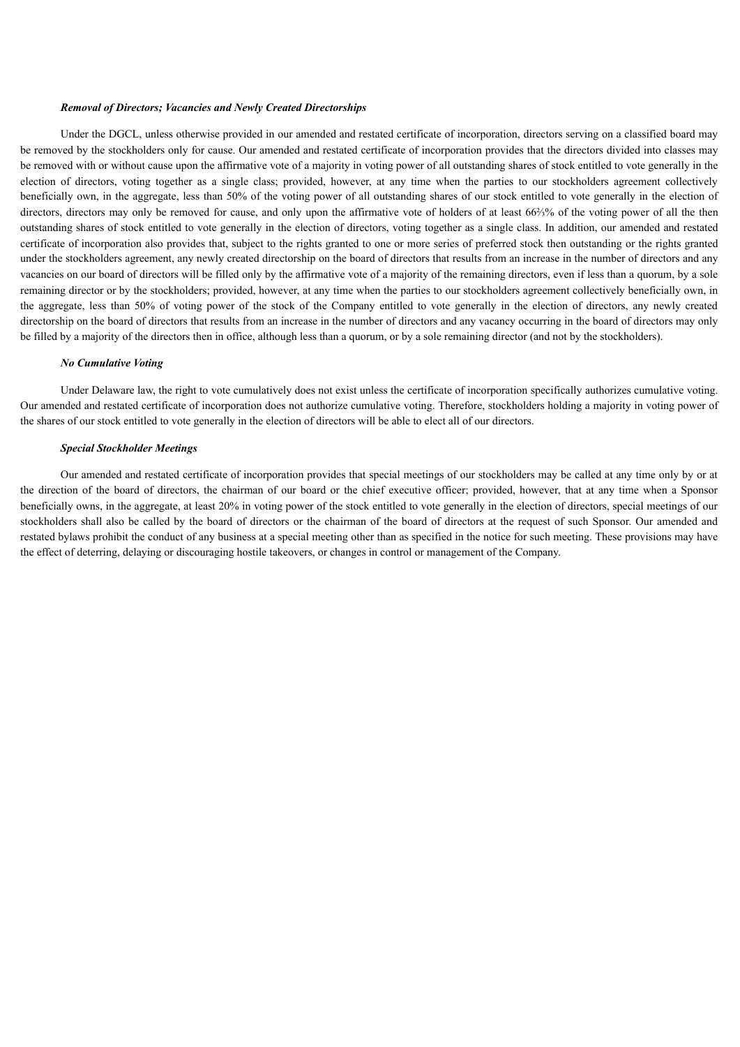#### *Removal of Directors; Vacancies and Newly Created Directorships*

Under the DGCL, unless otherwise provided in our amended and restated certificate of incorporation, directors serving on a classified board may be removed by the stockholders only for cause. Our amended and restated certificate of incorporation provides that the directors divided into classes may be removed with or without cause upon the affirmative vote of a majority in voting power of all outstanding shares of stock entitled to vote generally in the election of directors, voting together as a single class; provided, however, at any time when the parties to our stockholders agreement collectively beneficially own, in the aggregate, less than 50% of the voting power of all outstanding shares of our stock entitled to vote generally in the election of directors, directors may only be removed for cause, and only upon the affirmative vote of holders of at least 66⅔% of the voting power of all the then outstanding shares of stock entitled to vote generally in the election of directors, voting together as a single class. In addition, our amended and restated certificate of incorporation also provides that, subject to the rights granted to one or more series of preferred stock then outstanding or the rights granted under the stockholders agreement, any newly created directorship on the board of directors that results from an increase in the number of directors and any vacancies on our board of directors will be filled only by the affirmative vote of a majority of the remaining directors, even if less than a quorum, by a sole remaining director or by the stockholders; provided, however, at any time when the parties to our stockholders agreement collectively beneficially own, in the aggregate, less than 50% of voting power of the stock of the Company entitled to vote generally in the election of directors, any newly created directorship on the board of directors that results from an increase in the number of directors and any vacancy occurring in the board of directors may only be filled by a majority of the directors then in office, although less than a quorum, or by a sole remaining director (and not by the stockholders).

## *No Cumulative Voting*

Under Delaware law, the right to vote cumulatively does not exist unless the certificate of incorporation specifically authorizes cumulative voting. Our amended and restated certificate of incorporation does not authorize cumulative voting. Therefore, stockholders holding a majority in voting power of the shares of our stock entitled to vote generally in the election of directors will be able to elect all of our directors.

#### *Special Stockholder Meetings*

Our amended and restated certificate of incorporation provides that special meetings of our stockholders may be called at any time only by or at the direction of the board of directors, the chairman of our board or the chief executive officer; provided, however, that at any time when a Sponsor beneficially owns, in the aggregate, at least 20% in voting power of the stock entitled to vote generally in the election of directors, special meetings of our stockholders shall also be called by the board of directors or the chairman of the board of directors at the request of such Sponsor. Our amended and restated bylaws prohibit the conduct of any business at a special meeting other than as specified in the notice for such meeting. These provisions may have the effect of deterring, delaying or discouraging hostile takeovers, or changes in control or management of the Company.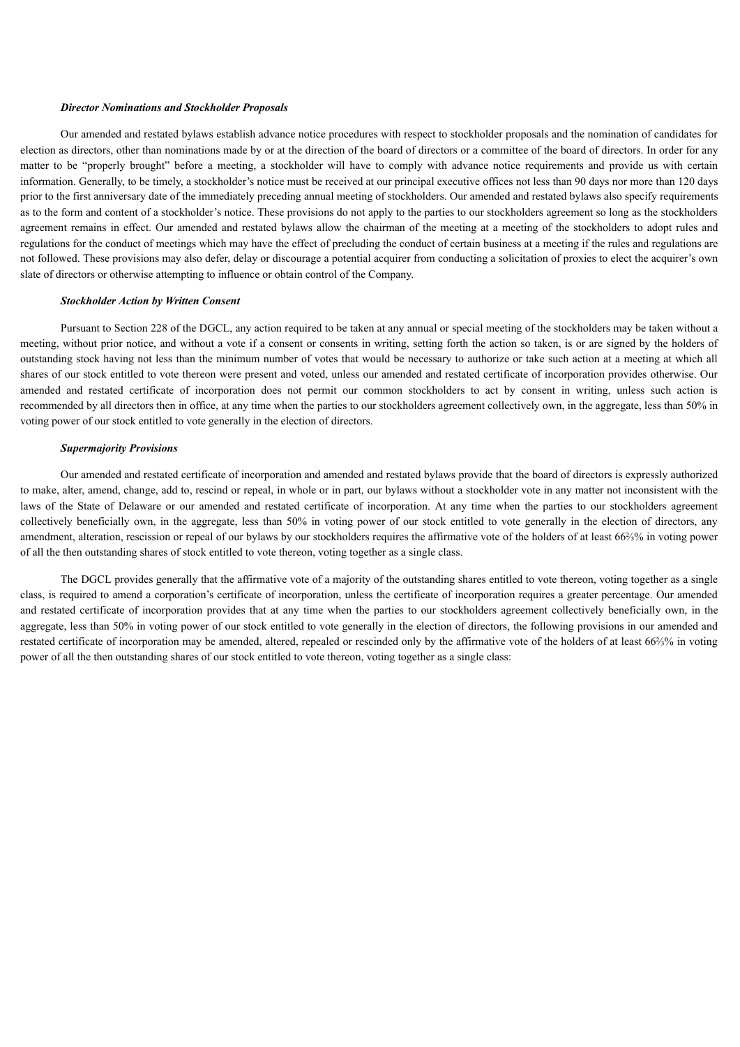#### *Director Nominations and Stockholder Proposals*

Our amended and restated bylaws establish advance notice procedures with respect to stockholder proposals and the nomination of candidates for election as directors, other than nominations made by or at the direction of the board of directors or a committee of the board of directors. In order for any matter to be "properly brought" before a meeting, a stockholder will have to comply with advance notice requirements and provide us with certain information. Generally, to be timely, a stockholder's notice must be received at our principal executive offices not less than 90 days nor more than 120 days prior to the first anniversary date of the immediately preceding annual meeting of stockholders. Our amended and restated bylaws also specify requirements as to the form and content of a stockholder's notice. These provisions do not apply to the parties to our stockholders agreement so long as the stockholders agreement remains in effect. Our amended and restated bylaws allow the chairman of the meeting at a meeting of the stockholders to adopt rules and regulations for the conduct of meetings which may have the effect of precluding the conduct of certain business at a meeting if the rules and regulations are not followed. These provisions may also defer, delay or discourage a potential acquirer from conducting a solicitation of proxies to elect the acquirer's own slate of directors or otherwise attempting to influence or obtain control of the Company.

## *Stockholder Action by Written Consent*

Pursuant to Section 228 of the DGCL, any action required to be taken at any annual or special meeting of the stockholders may be taken without a meeting, without prior notice, and without a vote if a consent or consents in writing, setting forth the action so taken, is or are signed by the holders of outstanding stock having not less than the minimum number of votes that would be necessary to authorize or take such action at a meeting at which all shares of our stock entitled to vote thereon were present and voted, unless our amended and restated certificate of incorporation provides otherwise. Our amended and restated certificate of incorporation does not permit our common stockholders to act by consent in writing, unless such action is recommended by all directors then in office, at any time when the parties to our stockholders agreement collectively own, in the aggregate, less than 50% in voting power of our stock entitled to vote generally in the election of directors.

#### *Supermajority Provisions*

Our amended and restated certificate of incorporation and amended and restated bylaws provide that the board of directors is expressly authorized to make, alter, amend, change, add to, rescind or repeal, in whole or in part, our bylaws without a stockholder vote in any matter not inconsistent with the laws of the State of Delaware or our amended and restated certificate of incorporation. At any time when the parties to our stockholders agreement collectively beneficially own, in the aggregate, less than 50% in voting power of our stock entitled to vote generally in the election of directors, any amendment, alteration, rescission or repeal of our bylaws by our stockholders requires the affirmative vote of the holders of at least 66⅔% in voting power of all the then outstanding shares of stock entitled to vote thereon, voting together as a single class.

The DGCL provides generally that the affirmative vote of a majority of the outstanding shares entitled to vote thereon, voting together as a single class, is required to amend a corporation's certificate of incorporation, unless the certificate of incorporation requires a greater percentage. Our amended and restated certificate of incorporation provides that at any time when the parties to our stockholders agreement collectively beneficially own, in the aggregate, less than 50% in voting power of our stock entitled to vote generally in the election of directors, the following provisions in our amended and restated certificate of incorporation may be amended, altered, repealed or rescinded only by the affirmative vote of the holders of at least 66⅔% in voting power of all the then outstanding shares of our stock entitled to vote thereon, voting together as a single class: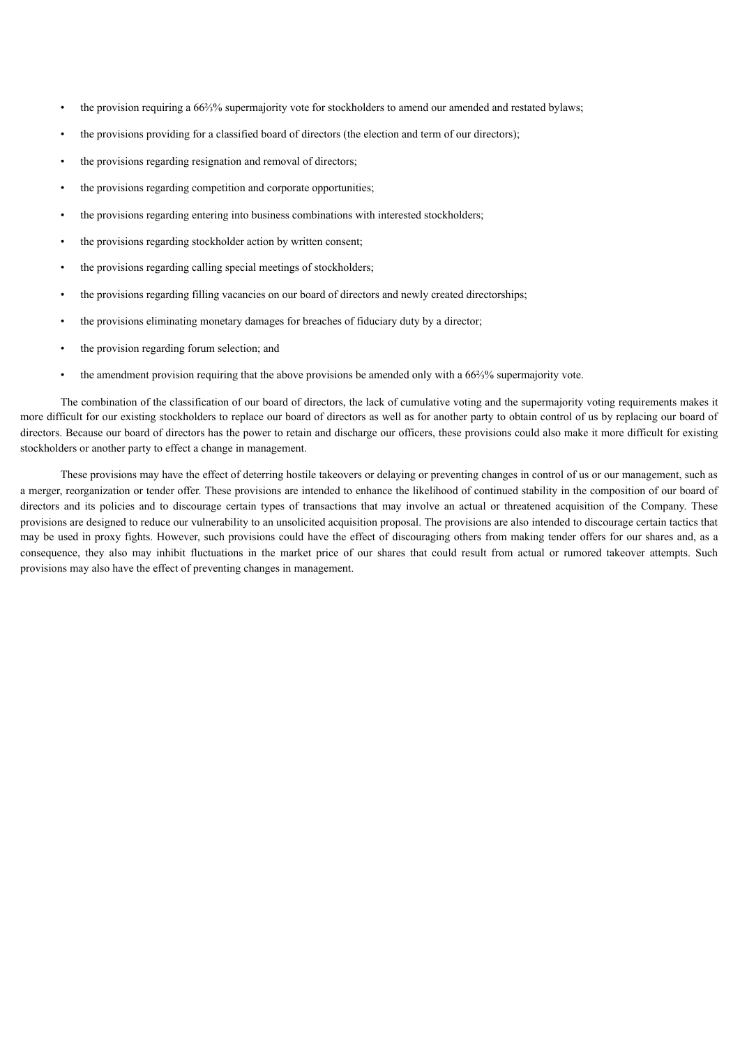- the provision requiring a 66⅔% supermajority vote for stockholders to amend our amended and restated bylaws;
- the provisions providing for a classified board of directors (the election and term of our directors);
- the provisions regarding resignation and removal of directors;
- the provisions regarding competition and corporate opportunities;
- the provisions regarding entering into business combinations with interested stockholders;
- the provisions regarding stockholder action by written consent;
- the provisions regarding calling special meetings of stockholders;
- the provisions regarding filling vacancies on our board of directors and newly created directorships;
- the provisions eliminating monetary damages for breaches of fiduciary duty by a director;
- the provision regarding forum selection; and
- the amendment provision requiring that the above provisions be amended only with a 66⅔% supermajority vote.

The combination of the classification of our board of directors, the lack of cumulative voting and the supermajority voting requirements makes it more difficult for our existing stockholders to replace our board of directors as well as for another party to obtain control of us by replacing our board of directors. Because our board of directors has the power to retain and discharge our officers, these provisions could also make it more difficult for existing stockholders or another party to effect a change in management.

These provisions may have the effect of deterring hostile takeovers or delaying or preventing changes in control of us or our management, such as a merger, reorganization or tender offer. These provisions are intended to enhance the likelihood of continued stability in the composition of our board of directors and its policies and to discourage certain types of transactions that may involve an actual or threatened acquisition of the Company. These provisions are designed to reduce our vulnerability to an unsolicited acquisition proposal. The provisions are also intended to discourage certain tactics that may be used in proxy fights. However, such provisions could have the effect of discouraging others from making tender offers for our shares and, as a consequence, they also may inhibit fluctuations in the market price of our shares that could result from actual or rumored takeover attempts. Such provisions may also have the effect of preventing changes in management.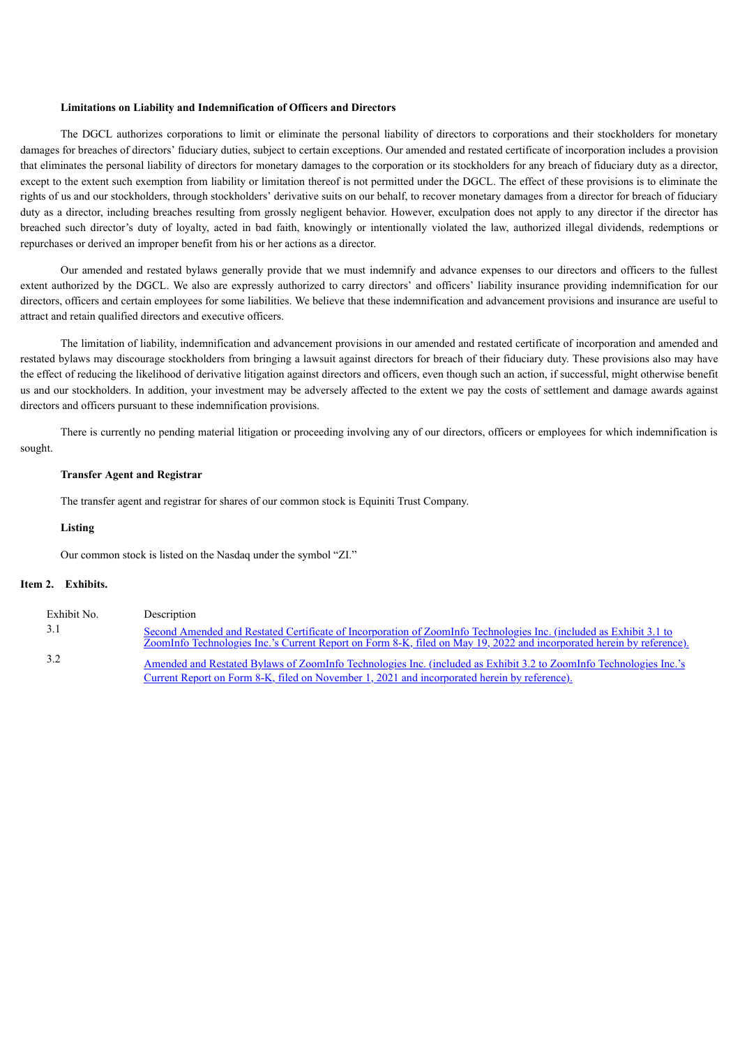#### **Limitations on Liability and Indemnification of Officers and Directors**

The DGCL authorizes corporations to limit or eliminate the personal liability of directors to corporations and their stockholders for monetary damages for breaches of directors' fiduciary duties, subject to certain exceptions. Our amended and restated certificate of incorporation includes a provision that eliminates the personal liability of directors for monetary damages to the corporation or its stockholders for any breach of fiduciary duty as a director, except to the extent such exemption from liability or limitation thereof is not permitted under the DGCL. The effect of these provisions is to eliminate the rights of us and our stockholders, through stockholders' derivative suits on our behalf, to recover monetary damages from a director for breach of fiduciary duty as a director, including breaches resulting from grossly negligent behavior. However, exculpation does not apply to any director if the director has breached such director's duty of loyalty, acted in bad faith, knowingly or intentionally violated the law, authorized illegal dividends, redemptions or repurchases or derived an improper benefit from his or her actions as a director.

Our amended and restated bylaws generally provide that we must indemnify and advance expenses to our directors and officers to the fullest extent authorized by the DGCL. We also are expressly authorized to carry directors' and officers' liability insurance providing indemnification for our directors, officers and certain employees for some liabilities. We believe that these indemnification and advancement provisions and insurance are useful to attract and retain qualified directors and executive officers.

The limitation of liability, indemnification and advancement provisions in our amended and restated certificate of incorporation and amended and restated bylaws may discourage stockholders from bringing a lawsuit against directors for breach of their fiduciary duty. These provisions also may have the effect of reducing the likelihood of derivative litigation against directors and officers, even though such an action, if successful, might otherwise benefit us and our stockholders. In addition, your investment may be adversely affected to the extent we pay the costs of settlement and damage awards against directors and officers pursuant to these indemnification provisions.

There is currently no pending material litigation or proceeding involving any of our directors, officers or employees for which indemnification is sought.

## **Transfer Agent and Registrar**

The transfer agent and registrar for shares of our common stock is Equiniti Trust Company.

## **Listing**

Our common stock is listed on the Nasdaq under the symbol "ZI."

### **Item 2. Exhibits.**

| Exhibit No. | Description                                                                                                                                                                                                                                 |
|-------------|---------------------------------------------------------------------------------------------------------------------------------------------------------------------------------------------------------------------------------------------|
| 3.1         | Second Amended and Restated Certificate of Incorporation of ZoomInfo Technologies Inc. (included as Exhibit 3.1 to<br>ZoomInfo Technologies Inc.'s Current Report on Form 8-K, filed on May 19, 2022 and incorporated herein by reference). |
| 3.2         | Amended and Restated Bylaws of ZoomInfo Technologies Inc. (included as Exhibit 3.2 to ZoomInfo Technologies Inc.'s<br>Current Report on Form 8-K, filed on November 1, 2021 and incorporated herein by reference).                          |